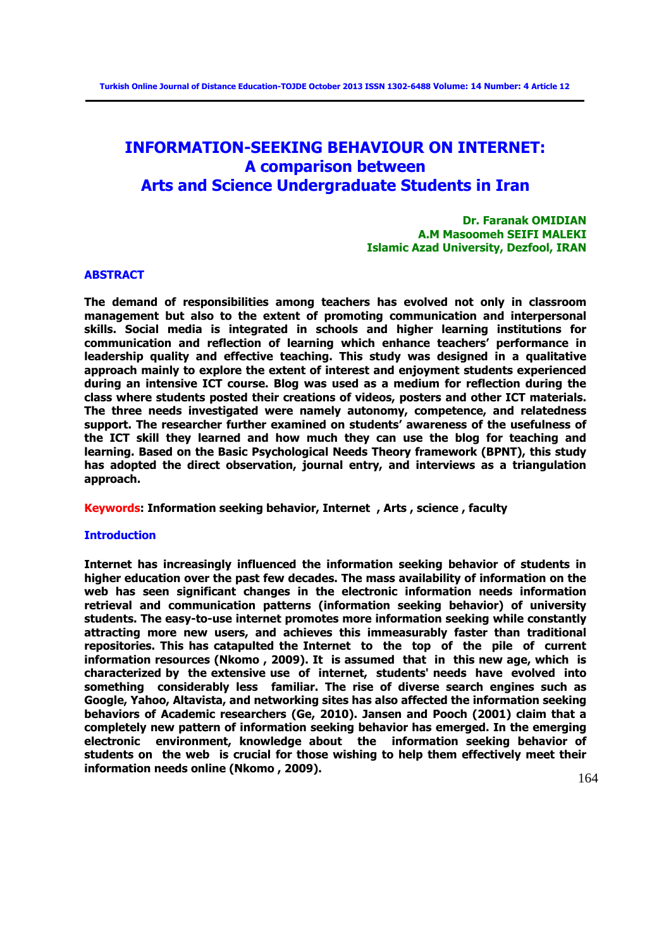# **INFORMATION-SEEKING BEHAVIOUR ON INTERNET: A comparison between Arts and Science Undergraduate Students in Iran**

## **Dr. Faranak OMIDIAN A.M Masoomeh SEIFI MALEKI Islamic Azad University, Dezfool, IRAN**

#### **ABSTRACT**

**The demand of responsibilities among teachers has evolved not only in classroom management but also to the extent of promoting communication and interpersonal skills. Social media is integrated in schools and higher learning institutions for communication and reflection of learning which enhance teachers' performance in leadership quality and effective teaching. This study was designed in a qualitative approach mainly to explore the extent of interest and enjoyment students experienced during an intensive ICT course. Blog was used as a medium for reflection during the class where students posted their creations of videos, posters and other ICT materials. The three needs investigated were namely autonomy, competence, and relatedness support. The researcher further examined on students' awareness of the usefulness of the ICT skill they learned and how much they can use the blog for teaching and learning. Based on the Basic Psychological Needs Theory framework (BPNT), this study has adopted the direct observation, journal entry, and interviews as a triangulation approach.** 

#### **Keywords: Information seeking behavior, Internet , Arts , science , faculty**

## **Introduction**

**Internet has increasingly influenced the information seeking behavior of students in higher education over the past few decades. The mass availability of information on the web has seen significant changes in the electronic information needs information retrieval and communication patterns (information seeking behavior) of university students. The easy-to-use internet promotes more information seeking while constantly attracting more new users, and achieves this immeasurably faster than traditional repositories. This has catapulted the Internet to the top of the pile of current information resources (Nkomo , 2009). It is assumed that in this new age, which is characterized by the extensive use of internet, students' needs have evolved into something considerably less familiar. The rise of diverse search engines such as Google, Yahoo, Altavista, and networking sites has also affected the information seeking behaviors of Academic researchers (Ge, 2010). Jansen and Pooch (2001) claim that a completely new pattern of information seeking behavior has emerged. In the emerging electronic environment, knowledge about the information seeking behavior of students on the web is crucial for those wishing to help them effectively meet their information needs online (Nkomo , 2009).**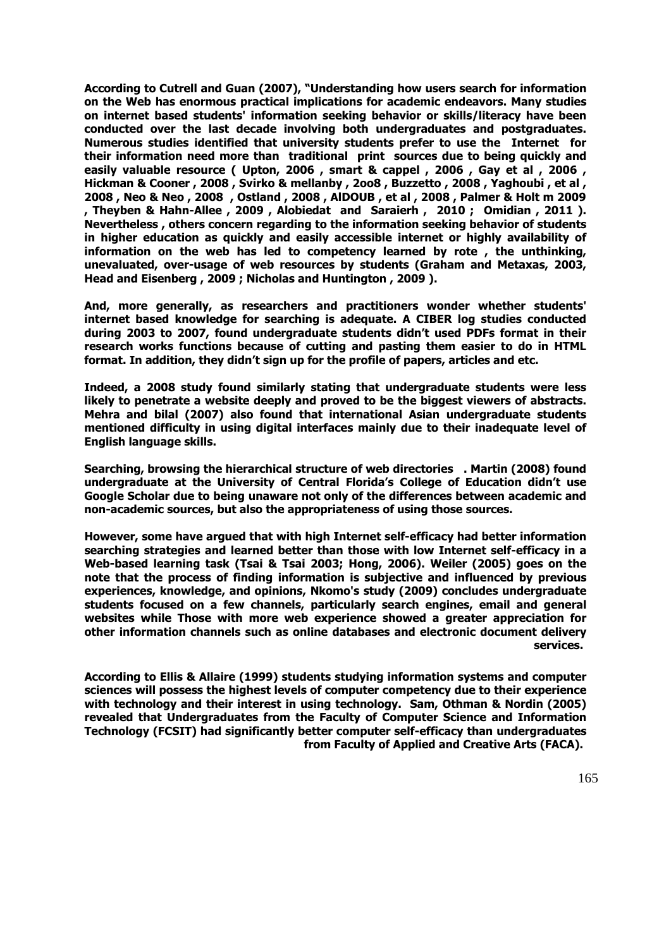**According to Cutrell and Guan (2007), "Understanding how users search for information on the Web has enormous practical implications for academic endeavors. Many studies on internet based students' information seeking behavior or skills/literacy have been conducted over the last decade involving both undergraduates and postgraduates. Numerous studies identified that university students prefer to use the Internet for their information need more than traditional print sources due to being quickly and easily valuable resource ( Upton, 2006 , smart & cappel , 2006 , Gay et al , 2006 , Hickman & Cooner , 2008 , Svirko & mellanby , 2oo8 , Buzzetto , 2008 , Yaghoubi , et al , 2008 , Neo & Neo , 2008 , Ostland , 2008 , AlDOUB , et al , 2008 , Palmer & Holt m 2009 , Theyben & Hahn-Allee , 2009 , Alobiedat and Saraierh , 2010 ; Omidian , 2011 ). Nevertheless , others concern regarding to the information seeking behavior of students in higher education as quickly and easily accessible internet or highly availability of information on the web has led to competency learned by rote , the unthinking, unevaluated, over-usage of web resources by students (Graham and Metaxas, 2003, Head and Eisenberg , 2009 ; Nicholas and Huntington , 2009 ).** 

**And, more generally, as researchers and practitioners wonder whether students' internet based knowledge for searching is adequate. A CIBER log studies conducted during 2003 to 2007, found undergraduate students didn't used PDFs format in their research works functions because of cutting and pasting them easier to do in HTML format. In addition, they didn't sign up for the profile of papers, articles and etc.** 

**Indeed, a 2008 study found similarly stating that undergraduate students were less likely to penetrate a website deeply and proved to be the biggest viewers of abstracts. Mehra and bilal (2007) also found that international Asian undergraduate students mentioned difficulty in using digital interfaces mainly due to their inadequate level of English language skills.** 

**Searching, browsing the hierarchical structure of web directories . Martin (2008) found undergraduate at the University of Central Florida's College of Education didn't use Google Scholar due to being unaware not only of the differences between academic and non-academic sources, but also the appropriateness of using those sources.**

**However, some have argued that with high Internet self-efficacy had better information searching strategies and learned better than those with low Internet self-efficacy in a Web-based learning task (Tsai & Tsai 2003; Hong, 2006). Weiler (2005) goes on the note that the process of finding information is subjective and influenced by previous experiences, knowledge, and opinions, Nkomo's study (2009) concludes undergraduate students focused on a few channels, particularly search engines, email and general websites while Those with more web experience showed a greater appreciation for other information channels such as online databases and electronic document delivery services.** 

**According to Ellis & Allaire (1999) students studying information systems and computer sciences will possess the highest levels of computer competency due to their experience with technology and their interest in using technology. Sam, Othman & Nordin (2005) revealed that Undergraduates from the Faculty of Computer Science and Information Technology (FCSIT) had significantly better computer self-efficacy than undergraduates from Faculty of Applied and Creative Arts (FACA).**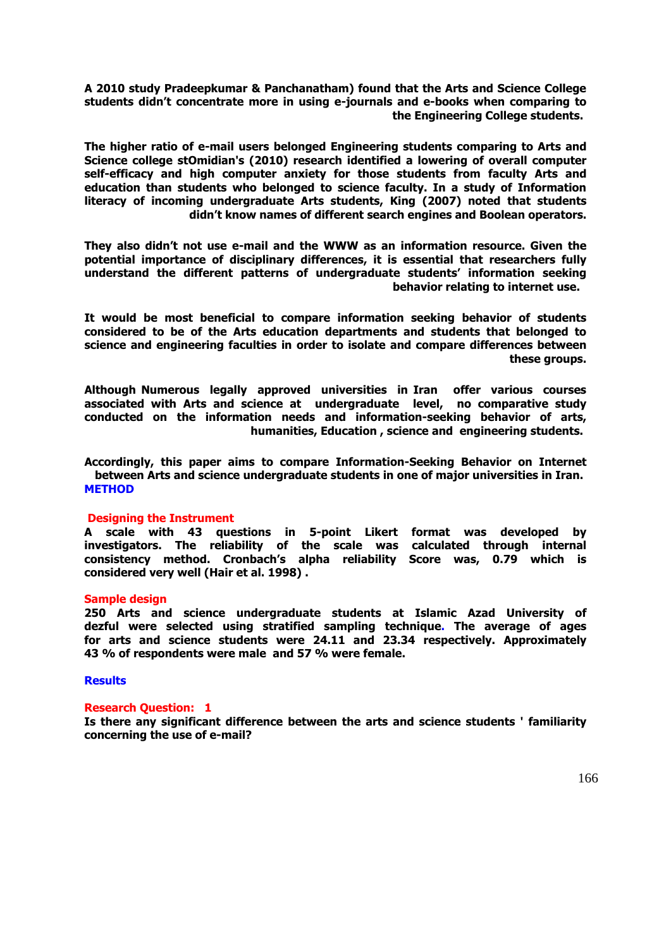**A 2010 study Pradeepkumar & Panchanatham) found that the Arts and Science College students didn't concentrate more in using e-journals and e-books when comparing to the Engineering College students.** 

**The higher ratio of e-mail users belonged Engineering students comparing to Arts and Science college stOmidian's (2010) research identified a lowering of overall computer self-efficacy and high computer anxiety for those students from faculty Arts and education than students who belonged to science faculty. In a study of Information literacy of incoming undergraduate Arts students, King (2007) noted that students didn't know names of different search engines and Boolean operators.**

**They also didn't not use e-mail and the WWW as an information resource. Given the potential importance of disciplinary differences, it is essential that researchers fully understand the different patterns of undergraduate students' information seeking behavior relating to internet use.** 

**It would be most beneficial to compare information seeking behavior of students considered to be of the Arts education departments and students that belonged to science and engineering faculties in order to isolate and compare differences between these groups.**

**Although Numerous legally approved universities in Iran offer various courses associated with Arts and science at undergraduate level, no comparative study conducted on the information needs and information-seeking behavior of arts, humanities, Education , science and engineering students.** 

**Accordingly, this paper aims to compare Information-Seeking Behavior on Internet between Arts and science undergraduate students in one of major universities in Iran. METHOD**

#### **Designing the Instrument**

**A scale with 43 questions in 5-point Likert format was developed by investigators. The reliability of the scale was calculated through internal consistency method. Cronbach's alpha reliability Score was, 0.79 which is considered very well (Hair et al. 1998) .** 

#### **Sample design**

**250 Arts and science undergraduate students at Islamic Azad University of dezful were selected using stratified sampling technique. The average of ages for arts and science students were 24.11 and 23.34 respectively. Approximately 43 % of respondents were male and 57 % were female.** 

#### **Results**

#### **Research Question: 1**

**Is there any significant difference between the arts and science students ' familiarity concerning the use of e-mail?**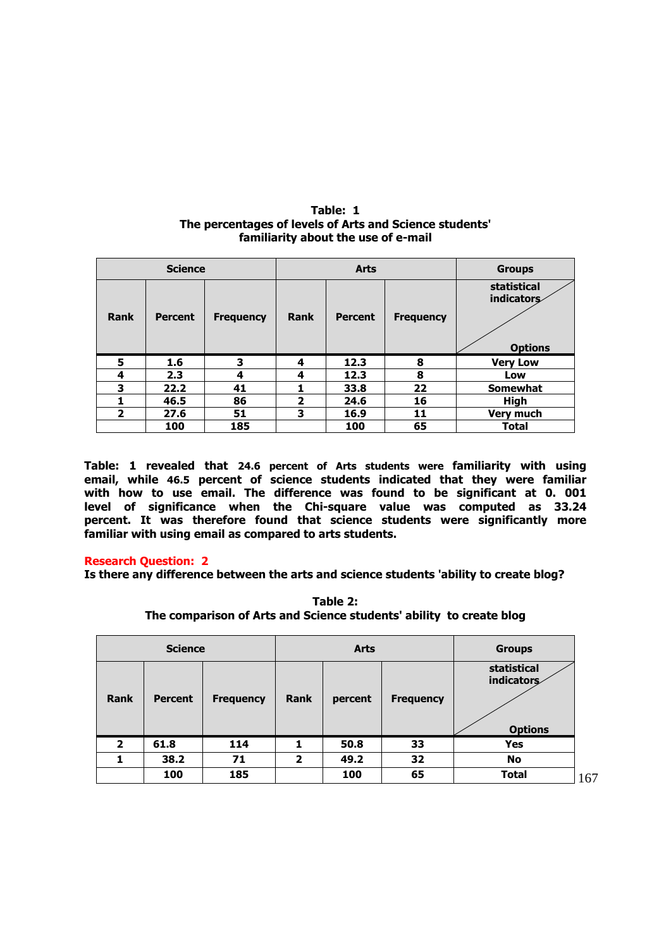| The percentages of levels of Arts and Science students'<br>familiarity about the use of e-mail |  |             |               |                           |  |  |  |  |
|------------------------------------------------------------------------------------------------|--|-------------|---------------|---------------------------|--|--|--|--|
| <b>Science</b>                                                                                 |  | <b>Arts</b> | <b>Groups</b> |                           |  |  |  |  |
|                                                                                                |  |             |               | statistical<br>indicators |  |  |  |  |

 **1.6 3 4 12.3 8 Very Low 2.3 4 4 12.3 8 Low 22.2 41 1 33.8 22 Somewhat 46.5 86 2 24.6 16 High 27.6 51 3 16.9 11 Very much 185 100 65 Total**

 **Options**

**Rank Percent Frequency Rank Percent Frequency**

| Table: 1                                                |
|---------------------------------------------------------|
| The percentages of levels of Arts and Science students' |
| familiarity about the use of e-mail                     |

| Table: 1 revealed that 24.6 percent of Arts students were familiarity with using |  |
|----------------------------------------------------------------------------------|--|
| email, while 46.5 percent of science students indicated that they were familiar  |  |
| with how to use email. The difference was found to be significant at 0. 001      |  |
| level of significance when the Chi-square value was computed as 33.24            |  |
| percent. It was therefore found that science students were significantly more    |  |
| familiar with using email as compared to arts students.                          |  |

## **Research Question: 2**

**Is there any difference between the arts and science students 'ability to create blog?** 

|              | <b>Science</b> |                  |                         | <b>Arts</b> | <b>Groups</b>    |                                             |
|--------------|----------------|------------------|-------------------------|-------------|------------------|---------------------------------------------|
| <b>Rank</b>  | <b>Percent</b> | <b>Frequency</b> | Rank                    | percent     | <b>Frequency</b> | statistical<br>indicators<br><b>Options</b> |
| $\mathbf{2}$ | 61.8           | 114              | 1                       | 50.8        | 33               | <b>Yes</b>                                  |
|              | 38.2           | 71               | $\overline{\mathbf{2}}$ | 49.2        | 32               | <b>No</b>                                   |
|              | 100            | 185              |                         | 100         | 65               | <b>Total</b>                                |

**Table 2: The comparison of Arts and Science students' ability to create blog**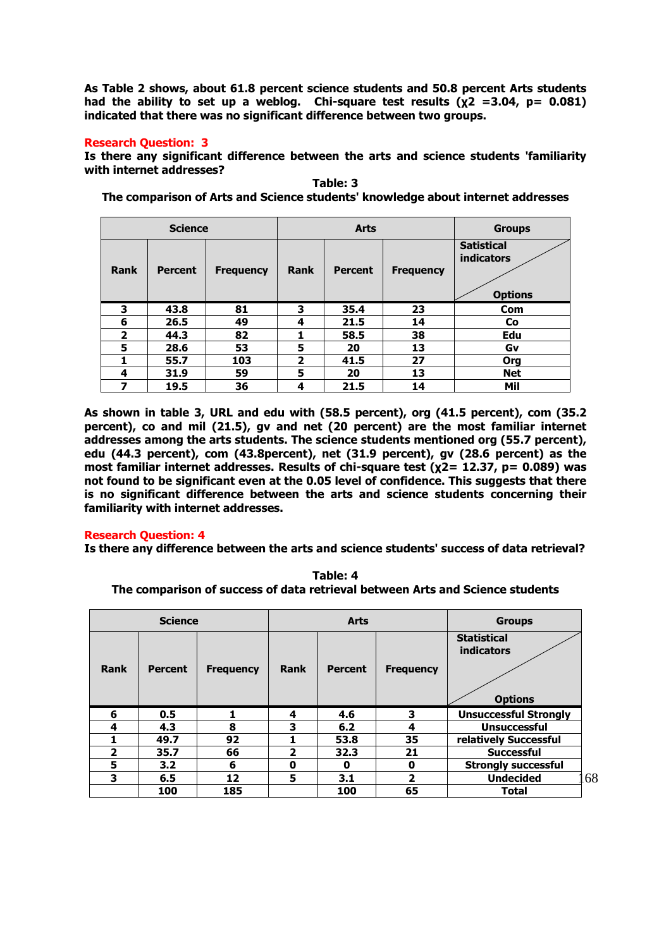**As Table 2 shows, about 61.8 percent science students and 50.8 percent Arts students had the ability to set up a weblog. Chi-square test results (χ2 =3.04, p= 0.081) indicated that there was no significant difference between two groups.**

## **Research Question: 3**

**Is there any significant difference between the arts and science students 'familiarity with internet addresses?** 

**Science Arts Groups Rank Percent Frequency Rank Percent Frequency Satistical indicators Options 3 43.8 81 3 35.4 23 Com 6 26.5 49 4 21.5 14 Co 2 44.3 82 1 58.5 38 Edu 5 28.6 53 5 20 13 Gv 1 55.7 103 2 41.5 27 Org 4 31.9 59 5 20 13 Net 7 19.5 36 4 21.5 14 Mil**

**Table: 3 The comparison of Arts and Science students' knowledge about internet addresses**

**As shown in table 3, URL and edu with (58.5 percent), org (41.5 percent), com (35.2 percent), co and mil (21.5), gv and net (20 percent) are the most familiar internet addresses among the arts students. The science students mentioned org (55.7 percent), edu (44.3 percent), com (43.8percent), net (31.9 percent), gv (28.6 percent) as the most familiar internet addresses. Results of chi-square test (χ2= 12.37, p= 0.089) was not found to be significant even at the 0.05 level of confidence. This suggests that there is no significant difference between the arts and science students concerning their familiarity with internet addresses.** 

## **Research Question: 4**

**Is there any difference between the arts and science students' success of data retrieval?** 

**Table: 4 The comparison of success of data retrieval between Arts and Science students**

|                | <b>Science</b> |                  |                         | <b>Arts</b>    | <b>Groups</b>    |                                                           |
|----------------|----------------|------------------|-------------------------|----------------|------------------|-----------------------------------------------------------|
| <b>Rank</b>    | <b>Percent</b> | <b>Frequency</b> | <b>Rank</b>             | <b>Percent</b> | <b>Frequency</b> | <b>Statistical</b><br><b>indicators</b><br><b>Options</b> |
| 6              | 0.5            |                  | 4                       | 4.6            | 3                | <b>Unsuccessful Strongly</b>                              |
| 4              | 4.3            | 8                | 3                       | 6.2            | 4                | <b>Unsuccessful</b>                                       |
|                | 49.7           | 92               |                         | 53.8           | 35               | relatively Successful                                     |
| $\overline{2}$ | 35.7           | 66               | $\overline{\mathbf{2}}$ | 32.3           | 21               | <b>Successful</b>                                         |
| 5              | 3.2            | 6                | 0                       | 0              | 0                | <b>Strongly successful</b>                                |
| 3              | 6.5            | 12               | 5                       | 3.1            | 2                | <b>Undecided</b>                                          |
|                | 100            | 185              |                         | 100            | 65               | <b>Total</b>                                              |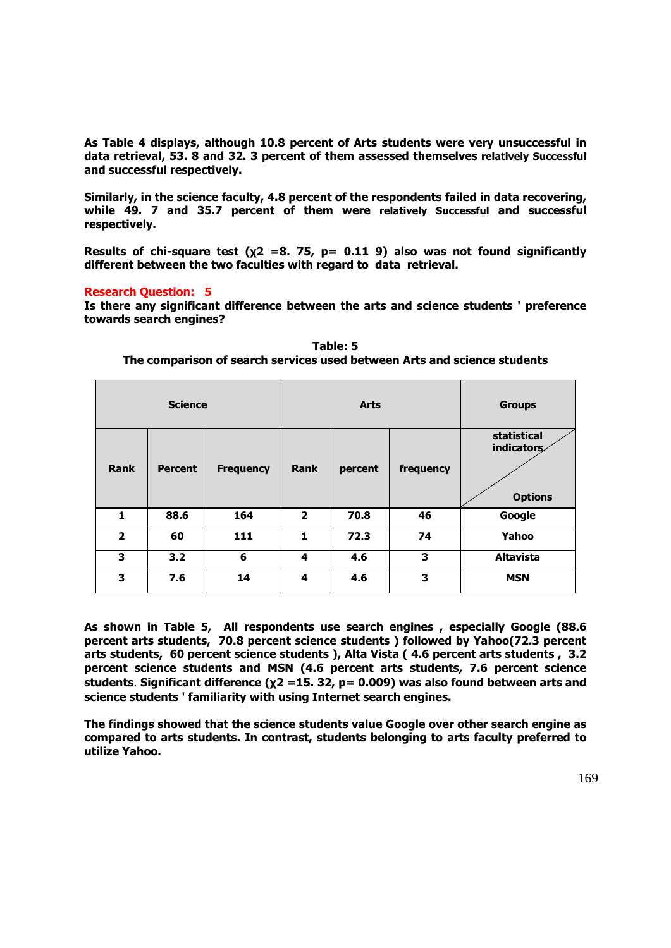**As Table 4 displays, although 10.8 percent of Arts students were very unsuccessful in data retrieval, 53. 8 and 32. 3 percent of them assessed themselves relatively Successful and successful respectively.**

**Similarly, in the science faculty, 4.8 percent of the respondents failed in data recovering, while 49. 7 and 35.7 percent of them were relatively Successful and successful respectively.** 

**Results of chi-square test (χ2 =8. 75, p= 0.11 9) also was not found significantly different between the two faculties with regard to data retrieval.** 

## **Research Question: 5**

**Is there any significant difference between the arts and science students ' preference towards search engines?** 

|                | <b>Science</b> |                  |                         | <b>Arts</b> | <b>Groups</b> |                                                    |
|----------------|----------------|------------------|-------------------------|-------------|---------------|----------------------------------------------------|
| <b>Rank</b>    | <b>Percent</b> | <b>Frequency</b> | <b>Rank</b>             | percent     | frequency     | statistical<br><b>indicators</b><br><b>Options</b> |
| $\mathbf{1}$   | 88.6           | 164              | $\overline{\mathbf{2}}$ | 70.8        | 46            | Google                                             |
| $\overline{2}$ | 60             | 111              | $\mathbf{1}$            | 72.3        | 74            | Yahoo                                              |
| 3              | 3.2            | 6                | 4                       | 4.6         | 3             | <b>Altavista</b>                                   |
| 3              | 7.6            | 14               | 4                       | 4.6         | 3             | <b>MSN</b>                                         |

**Table: 5 The comparison of search services used between Arts and science students**

**As shown in Table 5, All respondents use search engines , especially Google (88.6 percent arts students, 70.8 percent science students ) followed by Yahoo(72.3 percent arts students, 60 percent science students ), Alta Vista ( 4.6 percent arts students , 3.2 percent science students and MSN (4.6 percent arts students, 7.6 percent science students**. **Significant difference (χ2 =15. 32, p= 0.009) was also found between arts and science students ' familiarity with using Internet search engines.**

**The findings showed that the science students value Google over other search engine as compared to arts students. In contrast, students belonging to arts faculty preferred to utilize Yahoo.**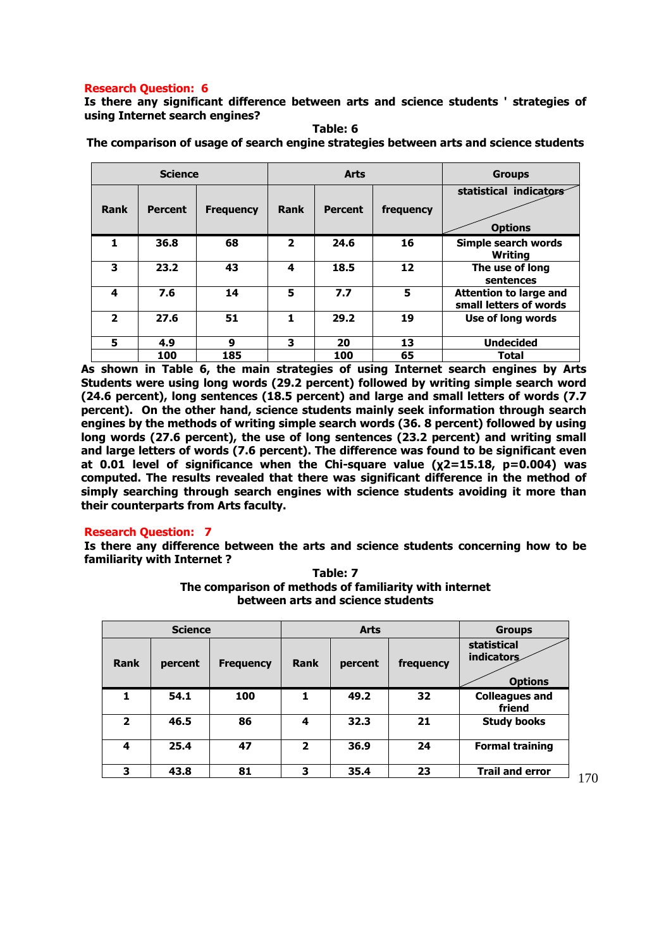## **Research Question: 6**

**Is there any significant difference between arts and science students ' strategies of using Internet search engines?** 

|              | <b>Science</b> |                  |                | <b>Arts</b>    | <b>Groups</b> |                                                  |
|--------------|----------------|------------------|----------------|----------------|---------------|--------------------------------------------------|
| <b>Rank</b>  | <b>Percent</b> | <b>Frequency</b> | Rank           | <b>Percent</b> | frequency     | statistical indicators<br><b>Options</b>         |
| 1            | 36.8           | 68               | $\overline{2}$ | 24.6           | 16            | Simple search words<br>Writing                   |
| 3            | 23.2           | 43               | 4              | 18.5           | 12            | The use of long<br>sentences                     |
| 4            | 7.6            | 14               | 5              | 7.7            | 5             | Attention to large and<br>small letters of words |
| $\mathbf{2}$ | 27.6           | 51               | 1.             | 29.2           | 19            | Use of long words                                |
| 5            | 4.9            | 9                | 3              | 20             | 13            | <b>Undecided</b>                                 |
|              | 100            | 185              |                | 100            | 65            | Total                                            |

**Table: 6 The comparison of usage of search engine strategies between arts and science students**

**As shown in Table 6, the main strategies of using Internet search engines by Arts Students were using long words (29.2 percent) followed by writing simple search word (24.6 percent), long sentences (18.5 percent) and large and small letters of words (7.7 percent). On the other hand, science students mainly seek information through search engines by the methods of writing simple search words (36. 8 percent) followed by using long words (27.6 percent), the use of long sentences (23.2 percent) and writing small and large letters of words (7.6 percent). The difference was found to be significant even at 0.01 level of significance when the Chi-square value (χ2=15.18, p=0.004) was computed. The results revealed that there was significant difference in the method of simply searching through search engines with science students avoiding it more than their counterparts from Arts faculty.** 

## **Research Question: 7**

**Is there any difference between the arts and science students concerning how to be familiarity with Internet ? Table: 7**

> **The comparison of methods of familiarity with internet between arts and science students**

|                | <b>Science</b> |                  |             | <b>Arts</b> | <b>Groups</b> |                                             |
|----------------|----------------|------------------|-------------|-------------|---------------|---------------------------------------------|
| <b>Rank</b>    | percent        | <b>Frequency</b> | <b>Rank</b> | percent     | frequency     | statistical<br>indicators<br><b>Options</b> |
| 1              | 54.1           | 100              |             | 49.2        | 32            | <b>Colleagues and</b><br>friend             |
| $\overline{2}$ | 46.5           | 86               | 4           | 32.3        | 21            | <b>Study books</b>                          |
| 4              | 25.4           | 47               | 2           | 36.9        | 24            | <b>Formal training</b>                      |
| 3              | 43.8           | 81               | 3           | 35.4        | 23            | <b>Trail and error</b>                      |

170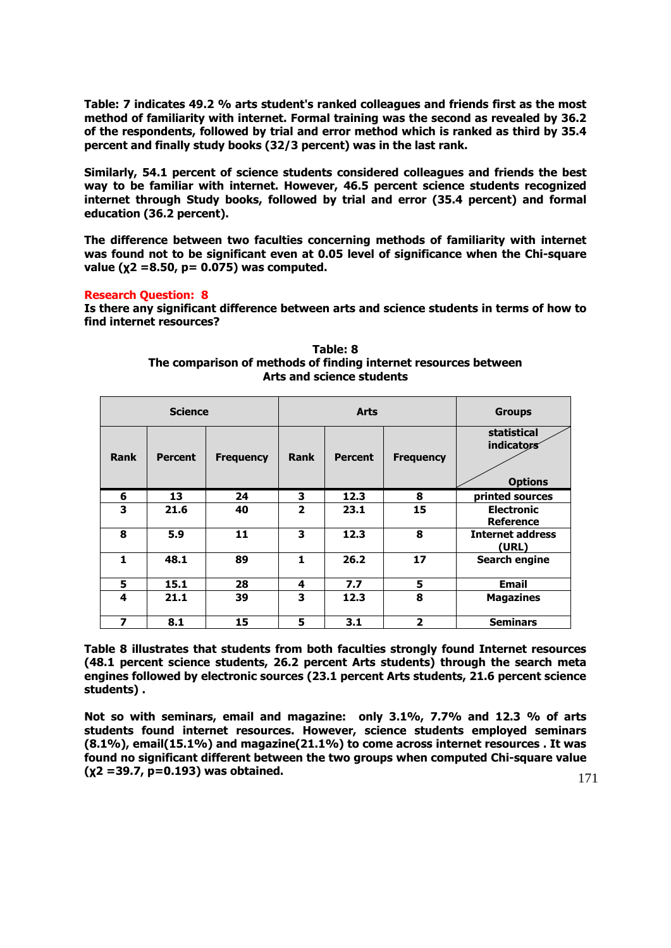**Table: 7 indicates 49.2 % arts student's ranked colleagues and friends first as the most method of familiarity with internet. Formal training was the second as revealed by 36.2 of the respondents, followed by trial and error method which is ranked as third by 35.4 percent and finally study books (32/3 percent) was in the last rank.** 

**Similarly, 54.1 percent of science students considered colleagues and friends the best way to be familiar with internet. However, 46.5 percent science students recognized internet through Study books, followed by trial and error (35.4 percent) and formal education (36.2 percent).**

**The difference between two faculties concerning methods of familiarity with internet was found not to be significant even at 0.05 level of significance when the Chi-square value (χ2 =8.50, p= 0.075) was computed.** 

## **Research Question: 8**

**Is there any significant difference between arts and science students in terms of how to find internet resources?**

|             | <b>Science</b> |                  |                         | <b>Arts</b>    | <b>Groups</b>           |                                             |
|-------------|----------------|------------------|-------------------------|----------------|-------------------------|---------------------------------------------|
| <b>Rank</b> | <b>Percent</b> | <b>Frequency</b> | <b>Rank</b>             | <b>Percent</b> | <b>Frequency</b>        | statistical<br>indicators<br><b>Options</b> |
| 6           | 13             | 24               | 3                       | 12.3           | 8                       | printed sources                             |
| 3           | 21.6           | 40               | $\overline{\mathbf{2}}$ | 23.1           | 15                      | <b>Electronic</b><br><b>Reference</b>       |
| 8           | 5.9            | 11               | 3                       | 12.3           | 8                       | <b>Internet address</b><br>(URL)            |
| 1           | 48.1           | 89               | 1                       | 26.2           | 17                      | <b>Search engine</b>                        |
| 5           | 15.1           | 28               | 4                       | 7.7            | 5                       | <b>Email</b>                                |
| 4           | 21.1           | 39               | 3                       | 12.3           | 8                       | <b>Magazines</b>                            |
| 7           | 8.1            | 15               | 5                       | 3.1            | $\overline{\mathbf{2}}$ | <b>Seminars</b>                             |

**Table: 8 The comparison of methods of finding internet resources between Arts and science students**

**Table 8 illustrates that students from both faculties strongly found Internet resources (48.1 percent science students, 26.2 percent Arts students) through the search meta engines followed by electronic sources (23.1 percent Arts students, 21.6 percent science students) .** 

**Not so with seminars, email and magazine: only 3.1%, 7.7% and 12.3 % of arts students found internet resources. However, science students employed seminars (8.1%), email(15.1%) and magazine(21.1%) to come across internet resources . It was found no significant different between the two groups when computed Chi-square value (χ2 =39.7, p=0.193) was obtained.**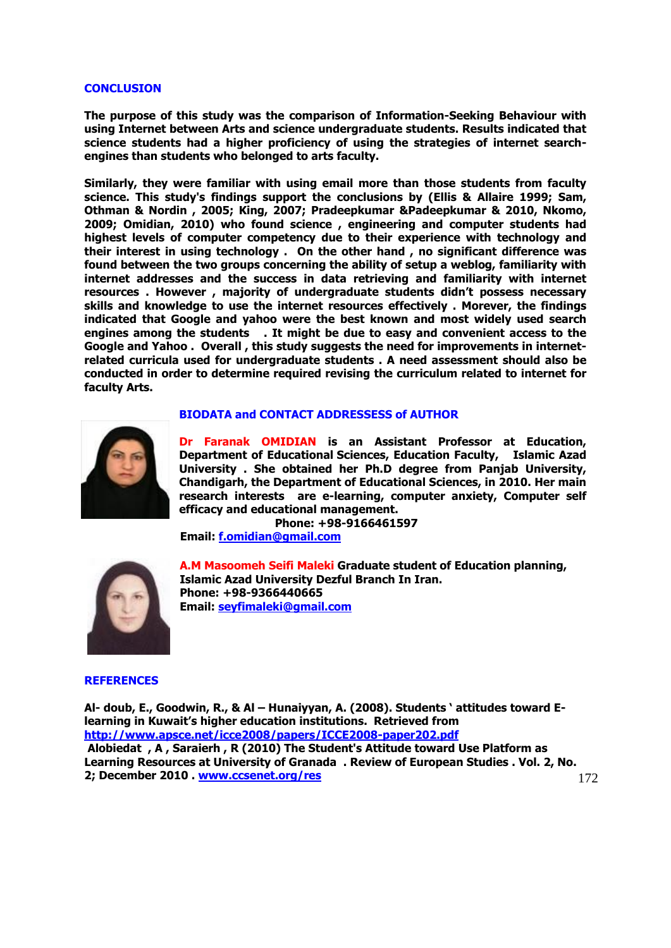#### **CONCLUSION**

**The purpose of this study was the comparison of Information-Seeking Behaviour with using Internet between Arts and science undergraduate students. Results indicated that science students had a higher proficiency of using the strategies of internet searchengines than students who belonged to arts faculty.** 

**Similarly, they were familiar with using email more than those students from faculty science. This study's findings support the conclusions by (Ellis & Allaire 1999; Sam, Othman & Nordin , 2005; King, 2007; Pradeepkumar &Padeepkumar & 2010, Nkomo, 2009; Omidian, 2010) who found science , engineering and computer students had highest levels of computer competency due to their experience with technology and their interest in using technology . On the other hand , no significant difference was found between the two groups concerning the ability of setup a weblog, familiarity with internet addresses and the success in data retrieving and familiarity with internet resources . However , majority of undergraduate students didn't possess necessary skills and knowledge to use the internet resources effectively . Morever, the findings indicated that Google and yahoo were the best known and most widely used search engines among the students . It might be due to easy and convenient access to the Google and Yahoo . Overall , this study suggests the need for improvements in internetrelated curricula used for undergraduate students . A need assessment should also be conducted in order to determine required revising the curriculum related to internet for faculty Arts.** 



#### **BIODATA and CONTACT ADDRESSESS of AUTHOR**

**Dr Faranak OMIDIAN is an Assistant Professor at Education, Department of Educational Sciences, Education Faculty, Islamic Azad University . She obtained her Ph.D degree from Panjab University, Chandigarh, the Department of Educational Sciences, in 2010. Her main research interests are e-learning, computer anxiety, Computer self efficacy and educational management.** 

 **Phone: +98-9166461597 Email: [f.omidian@gmail.com](mailto:f.omidian@gmail.com)** 



**A.M Masoomeh Seifi Maleki Graduate student of Education planning, Islamic Azad University Dezful Branch In Iran. Phone: +98-9366440665 Email: [seyfimaleki@gmail.com](mailto:seyfimaleki@gmail.com)**

#### **REFERENCES**

172 **Al- doub, E., Goodwin, R., & Al – Hunaiyyan, A. (2008). Students ' attitudes toward Elearning in Kuwait's higher education institutions. Retrieved from http://www.apsce.net/icce2008/papers/ICCE2008-paper202.pdf Alobiedat , A , Saraierh , R (2010) The Student's Attitude toward Use Platform as Learning Resources at University of Granada . Review of European Studies . Vol. 2, No. 2; December 2010 . [www.ccsenet.org/res](http://www.ccsenet.org/res)**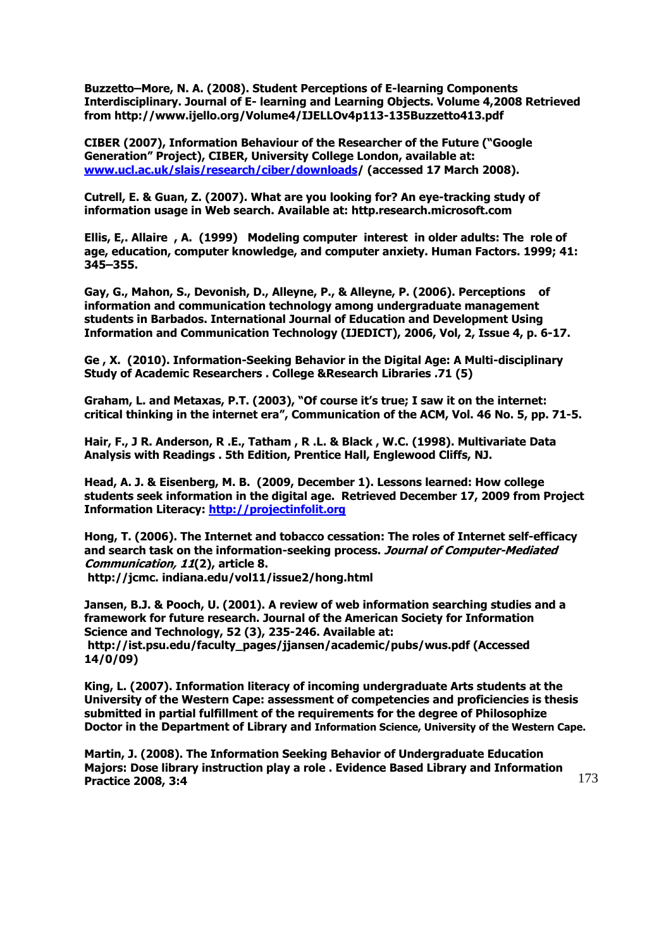**Buzzetto–More, N. A. (2008). Student Perceptions of E-learning Components Interdisciplinary. Journal of E- learning and Learning Objects. Volume 4,2008 Retrieved from<http://www.ijello.org/Volume4/IJELLOv4p113-135Buzzetto413.pdf>**

**CIBER (2007), Information Behaviour of the Researcher of the Future ("Google Generation" Project), CIBER, University College London, available at: [www.ucl.ac.uk/slais/research/ciber/downloads/](../AppData/Local/Microsoft/Windows/Temporary%20Internet%20Files/Content.IE5/QK8HR9I3/INFORMATION-SEEKING%20BEHAVIOUR%20ON%20INTERNET:) (accessed 17 March 2008).** 

**Cutrell, E. & Guan, Z. (2007). What are you looking for? An eye-tracking study of information usage in Web search. Available at: http.research.microsoft.com**

**Ellis, E,. Allaire , A. (1999) Modeling computer interest in older adults: The role of age, education, computer knowledge, and computer anxiety. Human Factors. 1999; 41: 345–355.** 

**Gay, G., Mahon, S., Devonish, D., Alleyne, P., & Alleyne, P. (2006). Perceptions of information and communication technology among undergraduate management students in Barbados. International Journal of Education and Development Using Information and Communication Technology (IJEDICT), 2006, Vol, 2, Issue 4, p. 6-17.**

**Ge , X. (2010). Information-Seeking Behavior in the Digital Age: A Multi-disciplinary Study of Academic Researchers . College &Research Libraries .71 (5)** 

**Graham, L. and Metaxas, P.T. (2003), "Of course it's true; I saw it on the internet: critical thinking in the internet era", Communication of the ACM, Vol. 46 No. 5, pp. 71-5.**

**Hair, F., J R. Anderson, R .E., Tatham , R .L. & Black , W.C. (1998). Multivariate Data Analysis with Readings . 5th Edition, Prentice Hall, Englewood Cliffs, NJ.**

**Head, A. J. & Eisenberg, M. B. (2009, December 1). Lessons learned: How college students seek information in the digital age. Retrieved December 17, 2009 from Project Information Literacy: [http://projectinfolit.org](http://projectinfolit.org/)**

**Hong, T. (2006). The Internet and tobacco cessation: The roles of Internet self-efficacy and search task on the information-seeking process. Journal of Computer-Mediated Communication, 11(2), article 8. http://jcmc. [indiana.edu/vol11/issue2/hong.html](http://jcmc.indiana.edu/vol11/issue2/hong.html)**

**Jansen, B.J. & Pooch, U. (2001). A review of web information searching studies and a framework for future research. Journal of the American Society for Information Science and Technology, 52 (3), 235-246. Available at: http://ist.psu.edu/faculty\_pages/jjansen/academic/pubs/wus.pdf (Accessed 14/0/09)**

**King, L. (2007). Information literacy of incoming undergraduate Arts students at the University of the Western Cape: assessment of competencies and proficiencies is thesis submitted in partial fulfillment of the requirements for the degree of Philosophize Doctor in the Department of Library and Information Science, University of the Western Cape.**

**Martin, J. (2008). The Information Seeking Behavior of Undergraduate Education Majors: Dose library instruction play a role . Evidence Based Library and Information Practice 2008, 3:4**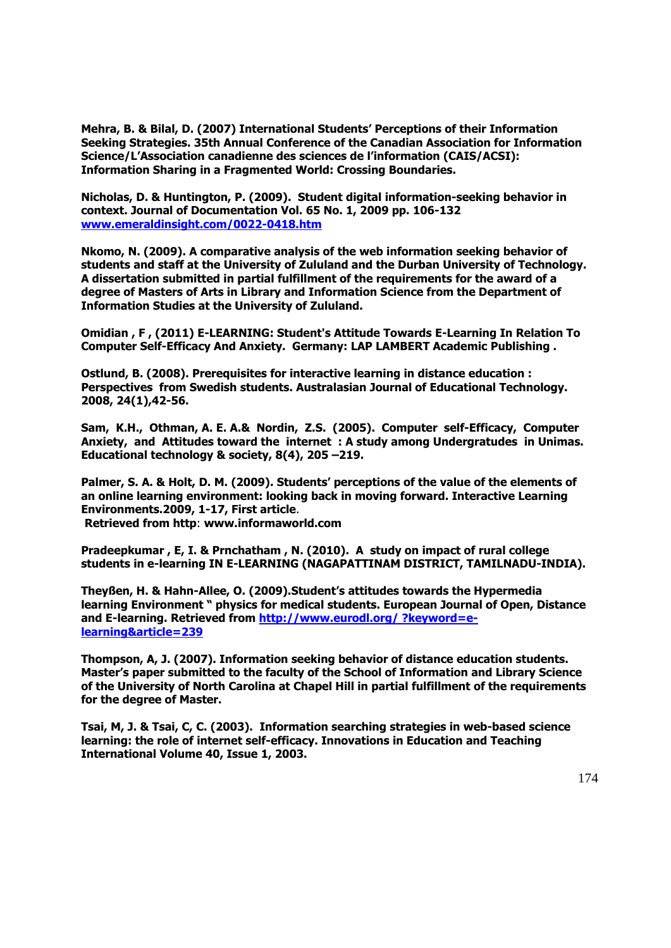**Mehra, B. & Bilal, D. (2007) International Students' Perceptions of their Information Seeking Strategies. 35th Annual Conference of the Canadian Association for Information Science/L'Association canadienne des sciences de l'information (CAIS/ACSI): Information Sharing in a Fragmented World: Crossing Boundaries.**

**Nicholas, D. & Huntington, P. (2009). Student digital information-seeking behavior in context. Journal of Documentation Vol. 65 No. 1, 2009 pp. 106-132 [www.emeraldinsight.com/0022-0418.htm](http://www.emeraldinsight.com/0022-0418.htm)**

**Nkomo, N. (2009). A comparative analysis of the web information seeking behavior of students and staff at the University of Zululand and the Durban University of Technology. A dissertation submitted in partial fulfillment of the requirements for the award of a degree of Masters of Arts in Library and Information Science from the Department of Information Studies at the University of Zululand.**

**Omidian , F , (2011) E-LEARNING: Student's Attitude Towards E-Learning In Relation To Computer Self-Efficacy And Anxiety. Germany: LAP LAMBERT Academic Publishing .** 

**Ostlund, B. (2008). Prerequisites for interactive learning in distance education : Perspectives from Swedish students. Australasian Journal of Educational Technology. 2008, 24(1),42-56.**

**Sam, K.H., Othman, A. E. A.& Nordin, Z.S. (2005). Computer self-Efficacy, Computer Anxiety, and Attitudes toward the internet : A study among Undergratudes in Unimas. Educational technology & society, 8(4), 205 –219.**

**Palmer, S. A. & Holt, D. M. (2009). Students' perceptions of the value of the elements of an online learning environment: looking back in moving forward. Interactive Learning Environments.2009, 1-17, First article**. **Retrieved from http**: **www.informaworld.com** 

**Pradeepkumar , E, I. & Prnchatham , N. (2010). A study on impact of rural college students in e-learning IN E-LEARNING (NAGAPATTINAM DISTRICT, TAMILNADU-INDIA).**

**Theyßen, H. & Hahn-Allee, O. (2009).Student's attitudes towards the Hypermedia learning Environment " physics for medical students. European Journal of Open, Distance and E-learning. Retrieved from [http://www.eurodl.org/ ?keyword=e](http://www.eurodl.org/%20?keyword=e-learning&article=239)[learning&article=239](http://www.eurodl.org/%20?keyword=e-learning&article=239)**

**Thompson, A, J. (2007). Information seeking behavior of distance education students. Master's paper submitted to the faculty of the School of Information and Library Science of the University of North Carolina at Chapel Hill in partial fulfillment of the requirements for the degree of Master.**

**Tsai, M, J. & Tsai, C, C. (2003). Information searching strategies in web-based science learning: the role of internet self-efficacy. Innovations in Education and Teaching International [Volume 40,](http://www.tandfonline.com/loi/riie20?open=40#vol_40) [Issue 1,](http://www.tandfonline.com/toc/riie20/40/1) 2003.**